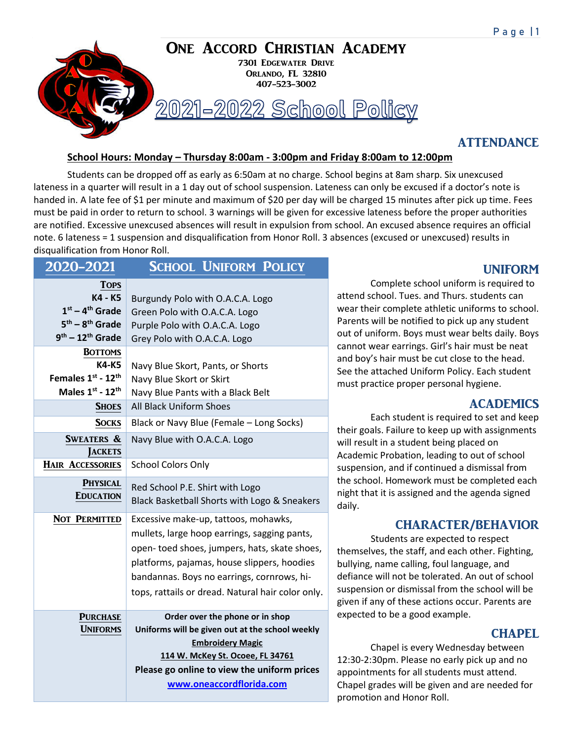

## **ATTENDANCE**

#### **School Hours: Monday – Thursday 8:00am - 3:00pm and Friday 8:00am to 12:00pm**

Students can be dropped off as early as 6:50am at no charge. School begins at 8am sharp. Six unexcused lateness in a quarter will result in a 1 day out of school suspension. Lateness can only be excused if a doctor's note is handed in. A late fee of \$1 per minute and maximum of \$20 per day will be charged 15 minutes after pick up time. Fees must be paid in order to return to school. 3 warnings will be given for excessive lateness before the proper authorities are notified. Excessive unexcused absences will result in expulsion from school. An excused absence requires an official note. 6 lateness = 1 suspension and disqualification from Honor Roll. 3 absences (excused or unexcused) results in disqualification from Honor Roll.

| 2020-2021                                                                              | <b>SCHOOL UNIFORM POLICY</b>                                                                                                                                                                                                                                                           |
|----------------------------------------------------------------------------------------|----------------------------------------------------------------------------------------------------------------------------------------------------------------------------------------------------------------------------------------------------------------------------------------|
| <b>TOPS</b><br>K4 - K5<br>$1st - 4th$ Grade<br>$5th - 8th$ Grade<br>$9th - 12th$ Grade | Burgundy Polo with O.A.C.A. Logo<br>Green Polo with O.A.C.A. Logo<br>Purple Polo with O.A.C.A. Logo<br>Grey Polo with O.A.C.A. Logo                                                                                                                                                    |
| <b>BOTTOMS</b><br>K4-K5<br>Females 1st - 12th<br>Males 1st - 12th                      | Navy Blue Skort, Pants, or Shorts<br>Navy Blue Skort or Skirt<br>Navy Blue Pants with a Black Belt                                                                                                                                                                                     |
| <b>SHOES</b>                                                                           | <b>All Black Uniform Shoes</b>                                                                                                                                                                                                                                                         |
| <b>SOCKS</b><br><b>SWEATERS &amp;</b><br><b>JACKETS</b>                                | Black or Navy Blue (Female - Long Socks)<br>Navy Blue with O.A.C.A. Logo                                                                                                                                                                                                               |
| <b>HAIR ACCESSORIES</b>                                                                | <b>School Colors Only</b>                                                                                                                                                                                                                                                              |
| <b>PHYSICAL</b><br><b>EDUCATION</b>                                                    | Red School P.E. Shirt with Logo<br>Black Basketball Shorts with Logo & Sneakers                                                                                                                                                                                                        |
| NOT PERMITTED                                                                          | Excessive make-up, tattoos, mohawks,<br>mullets, large hoop earrings, sagging pants,<br>open-toed shoes, jumpers, hats, skate shoes,<br>platforms, pajamas, house slippers, hoodies<br>bandannas. Boys no earrings, cornrows, hi-<br>tops, rattails or dread. Natural hair color only. |
| <b>PURCHASE</b><br><b>UNIFORMS</b>                                                     | Order over the phone or in shop<br>Uniforms will be given out at the school weekly<br><b>Embroidery Magic</b><br>114 W. McKey St. Ocoee, FL 34761<br>Please go online to view the uniform prices<br>www.oneaccordflorida.com                                                           |

# UNIFORM

Complete school uniform is required to attend school. Tues. and Thurs. students can wear their complete athletic uniforms to school. Parents will be notified to pick up any student out of uniform. Boys must wear belts daily. Boys cannot wear earrings. Girl's hair must be neat and boy's hair must be cut close to the head. See the attached Uniform Policy. Each student must practice proper personal hygiene.

## ACADEMICS

Each student is required to set and keep their goals. Failure to keep up with assignments will result in a student being placed on Academic Probation, leading to out of school suspension, and if continued a dismissal from the school. Homework must be completed each night that it is assigned and the agenda signed daily.

## CHARACTER/BEHAVIOR

Students are expected to respect themselves, the staff, and each other. Fighting, bullying, name calling, foul language, and defiance will not be tolerated. An out of school suspension or dismissal from the school will be given if any of these actions occur. Parents are expected to be a good example.

# **CHAPEL**

Chapel is every Wednesday between 12:30-2:30pm. Please no early pick up and no appointments for all students must attend. Chapel grades will be given and are needed for promotion and Honor Roll.